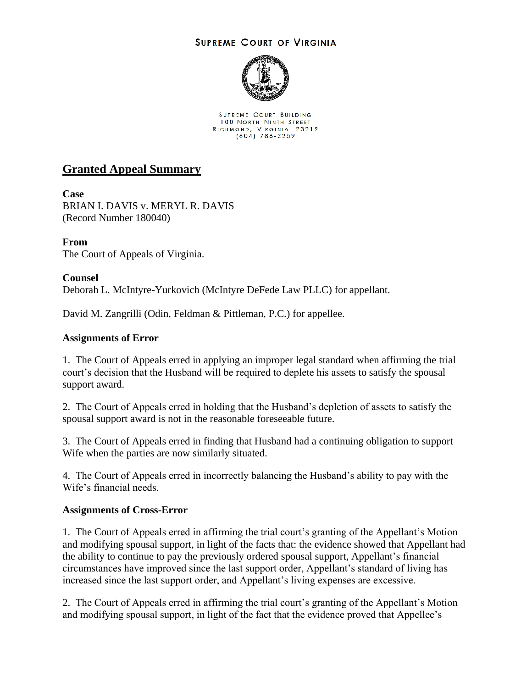## **SUPREME COURT OF VIRGINIA**



**SUPREME COURT BUILDING 100 NORTH NINTH STREET** RICHMOND, VIRGINIA 23219<br>(804) 786-2259

## **Granted Appeal Summary**

**Case** BRIAN I. DAVIS v. MERYL R. DAVIS (Record Number 180040)

**From** The Court of Appeals of Virginia.

**Counsel** Deborah L. McIntyre-Yurkovich (McIntyre DeFede Law PLLC) for appellant.

David M. Zangrilli (Odin, Feldman & Pittleman, P.C.) for appellee.

## **Assignments of Error**

1. The Court of Appeals erred in applying an improper legal standard when affirming the trial court's decision that the Husband will be required to deplete his assets to satisfy the spousal support award.

2. The Court of Appeals erred in holding that the Husband's depletion of assets to satisfy the spousal support award is not in the reasonable foreseeable future.

3. The Court of Appeals erred in finding that Husband had a continuing obligation to support Wife when the parties are now similarly situated.

4. The Court of Appeals erred in incorrectly balancing the Husband's ability to pay with the Wife's financial needs.

## **Assignments of Cross-Error**

1. The Court of Appeals erred in affirming the trial court's granting of the Appellant's Motion and modifying spousal support, in light of the facts that: the evidence showed that Appellant had the ability to continue to pay the previously ordered spousal support, Appellant's financial circumstances have improved since the last support order, Appellant's standard of living has increased since the last support order, and Appellant's living expenses are excessive.

2. The Court of Appeals erred in affirming the trial court's granting of the Appellant's Motion and modifying spousal support, in light of the fact that the evidence proved that Appellee's